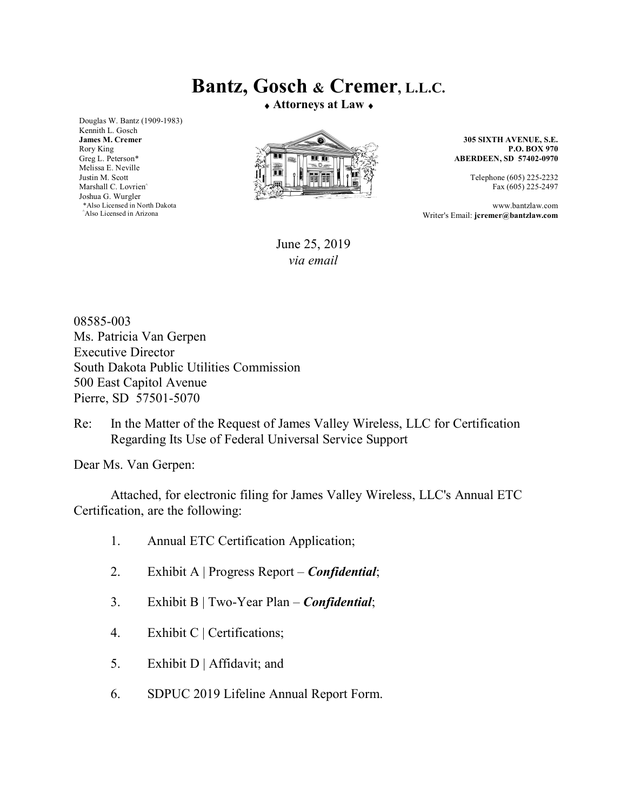## **Bantz, Gosch & Cremer, L.L.C.**

**Attorneys at Law** 

Douglas W. Bantz (1909-1983) Kennith L. Gosch **James M. Cremer**  Rory King Greg L. Peterson\* Melissa E. Neville Justin M. Scott Marshall C. Lovrien<sup>^</sup> Joshua G. Wurgler \*Also Licensed in North Dakota ^Also Licensed in Arizona



**305 SIXTH AVENUE, S.E. P.O. BOX 970 ABERDEEN, SD 57402-0970**

> Telephone (605) 225-2232 Fax (605) 225-2497

www.bantzlaw.com Writer's Email: **jcremer@bantzlaw.com**

June 25, 2019 *via email* 

08585-003 Ms. Patricia Van Gerpen Executive Director South Dakota Public Utilities Commission 500 East Capitol Avenue Pierre, SD 57501-5070

Re: In the Matter of the Request of James Valley Wireless, LLC for Certification Regarding Its Use of Federal Universal Service Support

Dear Ms. Van Gerpen:

Attached, for electronic filing for James Valley Wireless, LLC's Annual ETC Certification, are the following:

- 1. Annual ETC Certification Application;
- 2. Exhibit A | Progress Report *Confidential*;
- 3. Exhibit B | Two-Year Plan *Confidential*;
- 4. Exhibit C | Certifications;
- 5. Exhibit D | Affidavit; and
- 6. SDPUC 2019 Lifeline Annual Report Form.